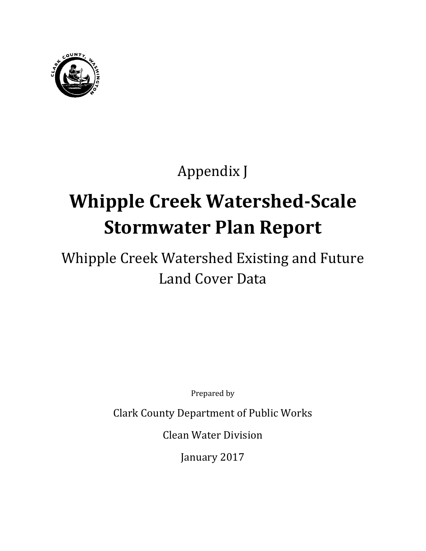

# Appendix J

# **Whipple Creek Watershed-Scale Stormwater Plan Report**

# Whipple Creek Watershed Existing and Future Land Cover Data

Prepared by

Clark County Department of Public Works

Clean Water Division

January 2017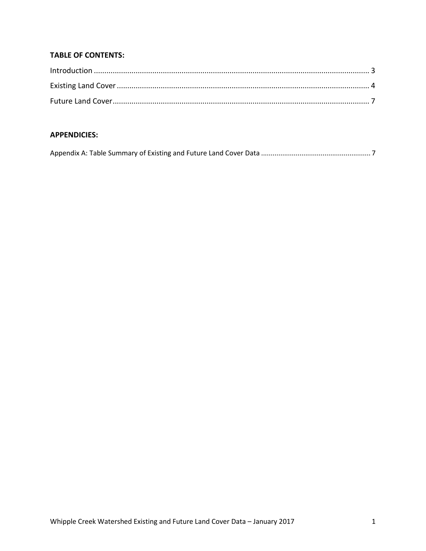#### **TABLE OF CONTENTS:**

#### **APPENDICIES:**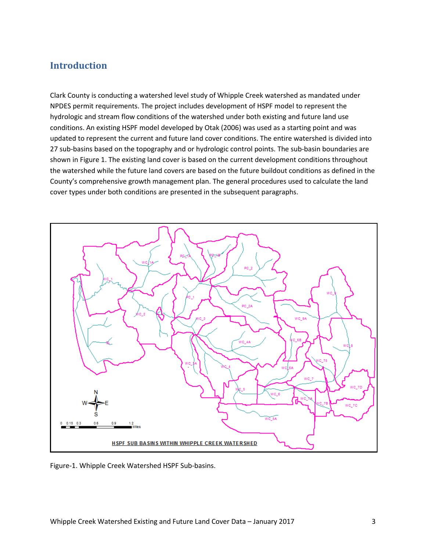#### <span id="page-4-0"></span>**Introduction**

Clark County is conducting a watershed level study of Whipple Creek watershed as mandated under NPDES permit requirements. The project includes development of HSPF model to represent the hydrologic and stream flow conditions of the watershed under both existing and future land use conditions. An existing HSPF model developed by Otak (2006) was used as a starting point and was updated to represent the current and future land cover conditions. The entire watershed is divided into 27 sub-basins based on the topography and or hydrologic control points. The sub-basin boundaries are shown in Figure 1. The existing land cover is based on the current development conditions throughout the watershed while the future land covers are based on the future buildout conditions as defined in the County's comprehensive growth management plan. The general procedures used to calculate the land cover types under both conditions are presented in the subsequent paragraphs.



Figure-1. Whipple Creek Watershed HSPF Sub-basins.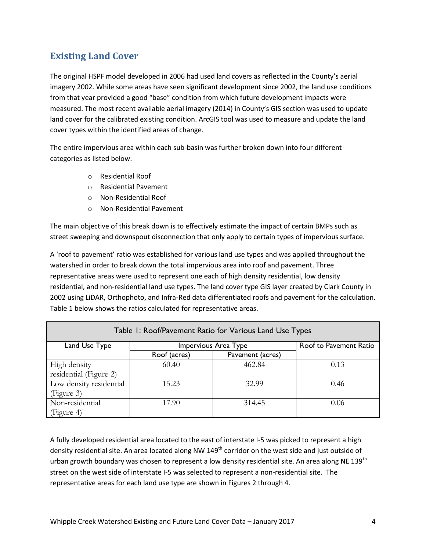## <span id="page-5-0"></span>**Existing Land Cover**

The original HSPF model developed in 2006 had used land covers as reflected in the County's aerial imagery 2002. While some areas have seen significant development since 2002, the land use conditions from that year provided a good "base" condition from which future development impacts were measured. The most recent available aerial imagery (2014) in County's GIS section was used to update land cover for the calibrated existing condition. ArcGIS tool was used to measure and update the land cover types within the identified areas of change.

The entire impervious area within each sub-basin was further broken down into four different categories as listed below.

- o Residential Roof
- o Residential Pavement
- o Non-Residential Roof
- o Non-Residential Pavement

The main objective of this break down is to effectively estimate the impact of certain BMPs such as street sweeping and downspout disconnection that only apply to certain types of impervious surface.

A 'roof to pavement' ratio was established for various land use types and was applied throughout the watershed in order to break down the total impervious area into roof and pavement. Three representative areas were used to represent one each of high density residential, low density residential, and non-residential land use types. The land cover type GIS layer created by Clark County in 2002 using LiDAR, Orthophoto, and Infra-Red data differentiated roofs and pavement for the calculation. Table 1 below shows the ratios calculated for representative areas.

| Table 1: Roof/Pavement Ratio for Various Land Use Types |                        |        |      |  |  |  |  |  |  |  |  |
|---------------------------------------------------------|------------------------|--------|------|--|--|--|--|--|--|--|--|
| Land Use Type                                           | Roof to Pavement Ratio |        |      |  |  |  |  |  |  |  |  |
|                                                         | Roof (acres)           |        |      |  |  |  |  |  |  |  |  |
| High density                                            | 60.40                  | 462.84 | 0.13 |  |  |  |  |  |  |  |  |
| residential (Figure-2)                                  |                        |        |      |  |  |  |  |  |  |  |  |
| Low density residential                                 | 15.23                  | 32.99  | 0.46 |  |  |  |  |  |  |  |  |
| (Figure-3)                                              |                        |        |      |  |  |  |  |  |  |  |  |
| Non-residential                                         | 17.90                  | 314.45 | 0.06 |  |  |  |  |  |  |  |  |
| (Figure-4)                                              |                        |        |      |  |  |  |  |  |  |  |  |

A fully developed residential area located to the east of interstate I-5 was picked to represent a high density residential site. An area located along NW  $149<sup>th</sup>$  corridor on the west side and just outside of urban growth boundary was chosen to represent a low density residential site. An area along NE 139<sup>th</sup> street on the west side of interstate I-5 was selected to represent a non-residential site. The representative areas for each land use type are shown in Figures 2 through 4.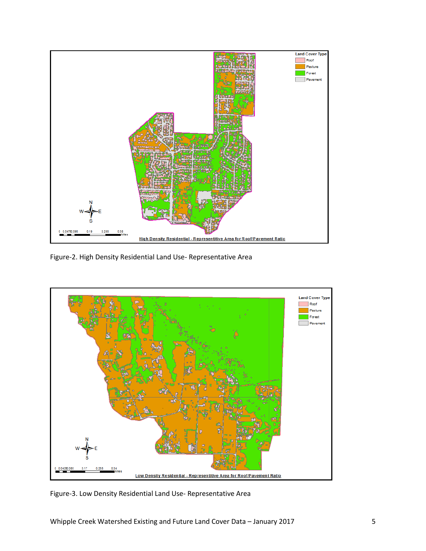

Figure-2. High Density Residential Land Use- Representative Area



Figure-3. Low Density Residential Land Use- Representative Area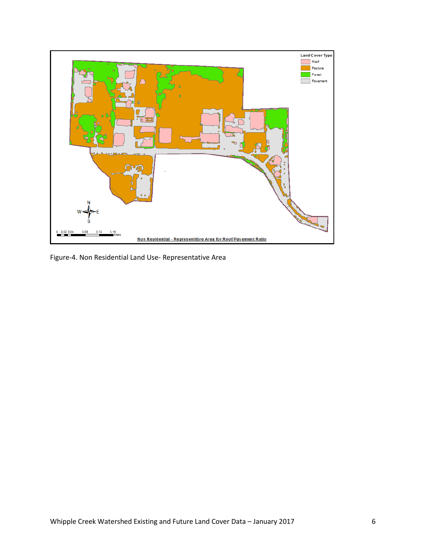

Figure-4. Non Residential Land Use- Representative Area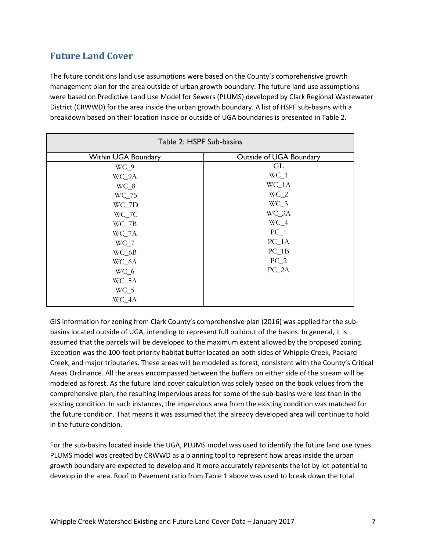### <span id="page-8-0"></span>**Future Land Cover**

The future conditions land use assumptions were based on the County's comprehensive growth management plan for the area outside of urban growth boundary. The future land use assumptions were based on Predictive Land Use Model for Sewers (PLUMS) developed by Clark Regional Wastewater District (CRWWD) for the area inside the urban growth boundary. A list of HSPF sub-basins with a breakdown based on their location inside or outside of UGA boundaries is presented in Table 2.

| Table 2: HSPF Sub-basins   |                         |  |  |  |  |  |  |  |  |
|----------------------------|-------------------------|--|--|--|--|--|--|--|--|
| <b>Within UGA Boundary</b> | Outside of UGA Boundary |  |  |  |  |  |  |  |  |
| $WC_9$                     | GL                      |  |  |  |  |  |  |  |  |
| WC_9A                      | $WC_1$                  |  |  |  |  |  |  |  |  |
| $WC_8$                     | $WC_1A$                 |  |  |  |  |  |  |  |  |
| WC_75                      | $WC_2$                  |  |  |  |  |  |  |  |  |
| WC_7D                      | $WC_3$                  |  |  |  |  |  |  |  |  |
| WC_7C                      | WC_3A                   |  |  |  |  |  |  |  |  |
| $WC_7B$                    | $WC_4$                  |  |  |  |  |  |  |  |  |
| WC_7A                      | PC 1                    |  |  |  |  |  |  |  |  |
| $WC_7$                     | $PC_1A$                 |  |  |  |  |  |  |  |  |
| $WC_6B$                    | $PC_1B$                 |  |  |  |  |  |  |  |  |
| WC_6A                      | $PC_2$                  |  |  |  |  |  |  |  |  |
| $WC_6$                     | PC 2A                   |  |  |  |  |  |  |  |  |
| WC_5A                      |                         |  |  |  |  |  |  |  |  |
| $WC_5$                     |                         |  |  |  |  |  |  |  |  |
| WC_4A                      |                         |  |  |  |  |  |  |  |  |

GIS information for zoning from Clark County's comprehensive plan (2016) was applied for the subbasins located outside of UGA, intending to represent full buildout of the basins. In general, it is assumed that the parcels will be developed to the maximum extent allowed by the proposed zoning. Exception was the 100-foot priority habitat buffer located on both sides of Whipple Creek, Packard Creek, and major tributaries. These areas will be modeled as forest, consistent with the County's Critical Areas Ordinance. All the areas encompassed between the buffers on either side of the stream will be modeled as forest. As the future land cover calculation was solely based on the book values from the comprehensive plan, the resulting impervious areas for some of the sub-basins were less than in the existing condition. In such instances, the impervious area from the existing condition was matched for the future condition. That means it was assumed that the already developed area will continue to hold in the future condition.

For the sub-basins located inside the UGA, PLUMS model was used to identify the future land use types. PLUMS model was created by CRWWD as a planning tool to represent how areas inside the urban growth boundary are expected to develop and it more accurately represents the lot by lot potential to develop in the area. Roof to Pavement ratio from Table 1 above was used to break down the total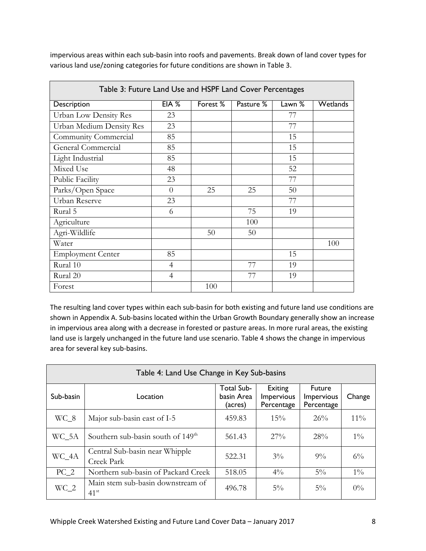| impervious areas within each sub-basin into roofs and pavements. Break down of land cover types for |  |
|-----------------------------------------------------------------------------------------------------|--|
| various land use/zoning categories for future conditions are shown in Table 3.                      |  |

| Table 3: Future Land Use and HSPF Land Cover Percentages |                |          |           |                 |                 |  |  |  |  |  |  |
|----------------------------------------------------------|----------------|----------|-----------|-----------------|-----------------|--|--|--|--|--|--|
| Description                                              | EIA %          | Forest % | Pasture % | Lawn $\sqrt{8}$ | <b>Wetlands</b> |  |  |  |  |  |  |
| Urban Low Density Res                                    | 23             |          |           | 77              |                 |  |  |  |  |  |  |
| Urban Medium Density Res                                 | 23             |          |           | 77              |                 |  |  |  |  |  |  |
| Community Commercial                                     | 85             |          |           | 15              |                 |  |  |  |  |  |  |
| General Commercial                                       | 85             |          |           | 15              |                 |  |  |  |  |  |  |
| Light Industrial                                         | 85             |          |           | 15              |                 |  |  |  |  |  |  |
| Mixed Use                                                | 48             |          |           | 52              |                 |  |  |  |  |  |  |
| Public Facility                                          | 23             |          |           | 77              |                 |  |  |  |  |  |  |
| Parks/Open Space                                         | $\Omega$       | 25       | 25        | 50              |                 |  |  |  |  |  |  |
| Urban Reserve                                            | 23             |          |           | 77              |                 |  |  |  |  |  |  |
| Rural 5                                                  | 6              |          | 75        | 19              |                 |  |  |  |  |  |  |
| Agriculture                                              |                |          | 100       |                 |                 |  |  |  |  |  |  |
| Agri-Wildlife                                            |                | 50       | 50        |                 |                 |  |  |  |  |  |  |
| Water                                                    |                |          |           |                 | 100             |  |  |  |  |  |  |
| <b>Employment Center</b>                                 | 85             |          |           | 15              |                 |  |  |  |  |  |  |
| Rural 10                                                 | $\overline{4}$ |          | 77        | 19              |                 |  |  |  |  |  |  |
| Rural 20                                                 | $\overline{4}$ |          | 77        | 19              |                 |  |  |  |  |  |  |
| Forest                                                   |                | 100      |           |                 |                 |  |  |  |  |  |  |

The resulting land cover types within each sub-basin for both existing and future land use conditions are shown in Appendix A. Sub-basins located within the Urban Growth Boundary generally show an increase in impervious area along with a decrease in forested or pasture areas. In more rural areas, the existing land use is largely unchanged in the future land use scenario. Table 4 shows the change in impervious area for several key sub-basins.

| Table 4: Land Use Change in Key Sub-basins |                                                    |                                     |                                     |                                           |        |  |  |  |  |  |  |
|--------------------------------------------|----------------------------------------------------|-------------------------------------|-------------------------------------|-------------------------------------------|--------|--|--|--|--|--|--|
| Sub-basin                                  | Location                                           | Total Sub-<br>basin Area<br>(acres) | Exiting<br>Impervious<br>Percentage | <b>Future</b><br>Impervious<br>Percentage | Change |  |  |  |  |  |  |
| $WC_8$                                     | Major sub-basin east of I-5                        | 459.83                              | $15\%$                              | 26%                                       | $11\%$ |  |  |  |  |  |  |
| WC_5A                                      | Southern sub-basin south of 149 <sup>th</sup>      | 561.43                              | $27\%$                              | 28%                                       | $1\%$  |  |  |  |  |  |  |
| WC_4A                                      | Central Sub-basin near Whipple<br>Creek Park       | 522.31                              | $3\%$                               | $9\%$                                     | $6\%$  |  |  |  |  |  |  |
| $PC_2$                                     | Northern sub-basin of Packard Creek                | 518.05                              | $4\%$                               | $5\%$                                     | $1\%$  |  |  |  |  |  |  |
| $WC_2$                                     | Main stem sub-basin downstream of<br>$41^{\rm st}$ | 496.78                              | $5\%$                               | $5\%$                                     | $0\%$  |  |  |  |  |  |  |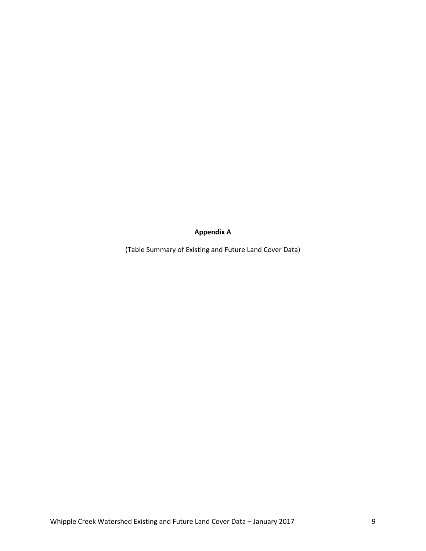**Appendix A** 

(Table Summary of Existing and Future Land Cover Data)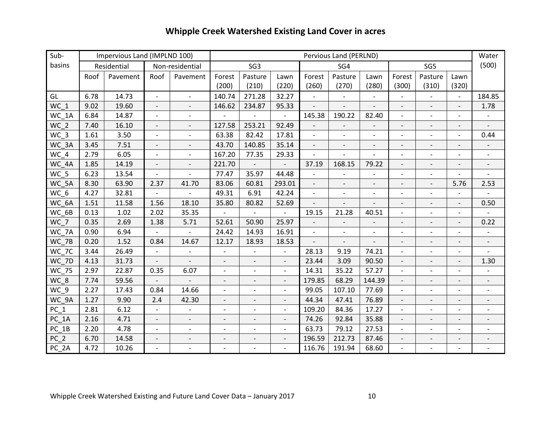# **Whipple Creek Watershed Existing Land Cover in acres**

| Sub-            |      | Impervious Land (IMPLND 100) |                          |                          |                          |                               |                          |                          | Pervious Land (PERLND)   |                          |                          |                           |                          | Water                        |
|-----------------|------|------------------------------|--------------------------|--------------------------|--------------------------|-------------------------------|--------------------------|--------------------------|--------------------------|--------------------------|--------------------------|---------------------------|--------------------------|------------------------------|
| basins          |      | Residential                  |                          | Non-residential          |                          | SG <sub>3</sub><br>SG5<br>SG4 |                          |                          |                          |                          |                          | (500)                     |                          |                              |
|                 | Roof | Pavement                     | Roof                     | Pavement                 | Forest                   | Pasture                       | Lawn                     | Forest                   | Pasture                  | Lawn                     | Forest                   | Pasture                   | Lawn                     |                              |
|                 |      |                              |                          |                          | (200)                    | (210)                         | (220)                    | (260)                    | (270)                    | (280)                    | (300)                    | (310)                     | (320)                    |                              |
| GL              | 6.78 | 14.73                        | $\overline{\phantom{a}}$ | $\overline{\phantom{a}}$ | 140.74                   | 271.28                        | 32.27                    |                          |                          |                          |                          |                           | $\overline{\phantom{a}}$ | 184.85                       |
| WC 1            | 9.02 | 19.60                        | $\overline{\phantom{a}}$ | $\overline{a}$           | 146.62                   | 234.87                        | 95.33                    |                          |                          |                          | $\overline{\phantom{a}}$ |                           |                          | 1.78                         |
| WC 1A           | 6.84 | 14.87                        | $\overline{\phantom{a}}$ | $\overline{\phantom{a}}$ | $\overline{\phantom{a}}$ | $\overline{\phantom{a}}$      |                          | 145.38                   | 190.22                   | 82.40                    | $\overline{\phantom{a}}$ | $\overline{\phantom{a}}$  | $\overline{\phantom{0}}$ | $\overline{\phantom{a}}$     |
| WC <sub>2</sub> | 7.40 | 16.10                        | $\overline{a}$           | $\overline{\phantom{a}}$ | 127.58                   | 253.21                        | 92.49                    |                          | $\overline{\phantom{a}}$ | $\overline{a}$           | $\overline{\phantom{a}}$ | $\overline{\phantom{a}}$  | $\overline{\phantom{0}}$ |                              |
| $WC_3$          | 1.61 | 3.50                         | $\qquad \qquad -$        | $\overline{a}$           | 63.38                    | 82.42                         | 17.81                    |                          |                          |                          | $\overline{\phantom{m}}$ |                           | $\overline{a}$           | 0.44                         |
| WC 3A           | 3.45 | 7.51                         | $\overline{\phantom{a}}$ | $\qquad \qquad -$        | 43.70                    | 140.85                        | 35.14                    |                          |                          |                          | $\overline{\phantom{a}}$ |                           | $\qquad \qquad -$        |                              |
| WC 4            | 2.79 | 6.05                         | $\overline{\phantom{a}}$ | $\overline{\phantom{a}}$ | 167.20                   | 77.35                         | 29.33                    |                          |                          |                          | $\overline{\phantom{a}}$ | $\overline{\phantom{a}}$  | $\overline{\phantom{0}}$ | $\overline{\phantom{a}}$     |
| WC_4A           | 1.85 | 14.19                        | $\overline{\phantom{a}}$ | $\overline{\phantom{a}}$ | 221.70                   | $\overline{\phantom{a}}$      | $\overline{\phantom{a}}$ | 37.19                    | 168.15                   | 79.22                    | $\overline{\phantom{a}}$ | $\overline{\phantom{a}}$  | $\overline{\phantom{a}}$ | $\overline{\phantom{a}}$     |
| WC 5            | 6.23 | 13.54                        | $\mathbf{r}$             | $\overline{\phantom{a}}$ | 77.47                    | 35.97                         | 44.48                    |                          |                          | $\overline{\phantom{a}}$ | $\blacksquare$           | $\mathbb{L}^{\mathbb{N}}$ | $\overline{a}$           |                              |
| WC_5A           | 8.30 | 63.90                        | 2.37                     | 41.70                    | 83.06                    | 60.81                         | 293.01                   |                          | $\overline{a}$           | $\overline{\phantom{a}}$ |                          |                           | 5.76                     | 2.53                         |
| WC 6            | 4.27 | 32.81                        | $\overline{a}$           |                          | 49.31                    | 6.91                          | 42.24                    | $\overline{\phantom{a}}$ | $\overline{\phantom{a}}$ | $\overline{a}$           | $\overline{\phantom{a}}$ | $\overline{\phantom{a}}$  |                          |                              |
| WC 6A           | 1.51 | 11.58                        | 1.56                     | 18.10                    | 35.80                    | 80.82                         | 52.69                    |                          |                          |                          | $\overline{\phantom{a}}$ |                           | $\overline{\phantom{0}}$ | 0.50                         |
| WC 6B           | 0.13 | 1.02                         | 2.02                     | 35.35                    |                          | $\overline{\phantom{a}}$      |                          | 19.15                    | 21.28                    | 40.51                    | $\overline{\phantom{a}}$ | $\overline{\phantom{a}}$  | $\blacksquare$           |                              |
| WC 7            | 0.35 | 2.69                         | 1.38                     | 5.71                     | 52.61                    | 50.90                         | 25.97                    |                          |                          | $\overline{a}$           | $\overline{\phantom{0}}$ |                           | $\overline{\phantom{a}}$ | 0.22                         |
| WC 7A           | 0.90 | 6.94                         |                          |                          | 24.42                    | 14.93                         | 16.91                    |                          |                          |                          | $\overline{\phantom{a}}$ |                           | $\overline{a}$           |                              |
| WC 7B           | 0.20 | 1.52                         | 0.84                     | 14.67                    | 12.17                    | 18.93                         | 18.53                    |                          |                          |                          | $\overline{\phantom{a}}$ | $\overline{\phantom{a}}$  | $\overline{a}$           | $\overline{\phantom{a}}$     |
| WC 7C           | 3.44 | 26.49                        | $\overline{\phantom{a}}$ |                          | $\overline{a}$           |                               |                          | 28.13                    | 9.19                     | 74.21                    | $\overline{\phantom{a}}$ | $\overline{\phantom{a}}$  | $\overline{a}$           |                              |
| WC 7D           | 4.13 | 31.73                        | $\overline{\phantom{a}}$ | $\overline{a}$           | $\overline{a}$           | $\overline{\phantom{a}}$      | $\overline{\phantom{a}}$ | 23.44                    | 3.09                     | 90.50                    | $\overline{\phantom{a}}$ |                           | $\overline{a}$           | 1.30                         |
| WC_75           | 2.97 | 22.87                        | 0.35                     | 6.07                     | $\overline{\phantom{a}}$ | $\overline{\phantom{a}}$      | $\overline{\phantom{a}}$ | 14.31                    | 35.22                    | 57.27                    | $\overline{\phantom{a}}$ | $\overline{\phantom{a}}$  | $\overline{\phantom{0}}$ | $\qquad \qquad \blacksquare$ |
| WC_8            | 7.74 | 59.56                        |                          |                          | $\overline{a}$           | $\overline{\phantom{a}}$      | $\overline{\phantom{0}}$ | 179.85                   | 68.29                    | 144.39                   | $\overline{\phantom{a}}$ |                           |                          | $\overline{\phantom{a}}$     |
| WC_9            | 2.27 | 17.43                        | 0.84                     | 14.66                    | $\overline{\phantom{a}}$ | $\overline{\phantom{a}}$      | $\overline{\phantom{a}}$ | 99.05                    | 107.10                   | 77.69                    | $\overline{\phantom{a}}$ | $\overline{\phantom{a}}$  | $\overline{\phantom{a}}$ | $\overline{\phantom{a}}$     |
| WC 9A           | 1.27 | 9.90                         | 2.4                      | 42.30                    | $\blacksquare$           | $\overline{\phantom{a}}$      | $\overline{\phantom{0}}$ | 44.34                    | 47.41                    | 76.89                    | $\blacksquare$           | $\overline{\phantom{a}}$  | $\overline{a}$           | $\overline{\phantom{a}}$     |
| $PC_1$          | 2.81 | 6.12                         | $\qquad \qquad -$        | $\overline{\phantom{a}}$ | $\overline{a}$           | $\overline{\phantom{a}}$      | $\overline{\phantom{a}}$ | 109.20                   | 84.36                    | 17.27                    | $\overline{\phantom{a}}$ |                           | $\overline{a}$           | $\overline{a}$               |
| $PC_1A$         | 2.16 | 4.71                         | $\overline{\phantom{a}}$ | $\overline{\phantom{a}}$ | $\overline{\phantom{a}}$ | $\overline{\phantom{a}}$      | $\overline{\phantom{a}}$ | 74.26                    | 92.84                    | 35.88                    | $\overline{\phantom{a}}$ | $\overline{\phantom{a}}$  | $\overline{\phantom{m}}$ | $\overline{\phantom{a}}$     |
| $PC_1B$         | 2.20 | 4.78                         | $\overline{\phantom{a}}$ | $\overline{\phantom{a}}$ | $\overline{\phantom{a}}$ | $\overline{\phantom{a}}$      | $\overline{\phantom{0}}$ | 63.73                    | 79.12                    | 27.53                    | $\overline{\phantom{a}}$ | $\overline{\phantom{a}}$  | $\overline{\phantom{a}}$ | $\overline{\phantom{a}}$     |
| PC <sub>2</sub> | 6.70 | 14.58                        |                          | $\overline{\phantom{0}}$ | $\qquad \qquad -$        | $\overline{\phantom{a}}$      | $\overline{\phantom{0}}$ | 196.59                   | 212.73                   | 87.46                    | $\overline{\phantom{m}}$ |                           | $\overline{\phantom{0}}$ |                              |
| PC_2A           | 4.72 | 10.26                        | $\overline{a}$           |                          |                          |                               | $\overline{a}$           | 116.76                   | 191.94                   | 68.60                    | $\overline{\phantom{a}}$ |                           |                          |                              |